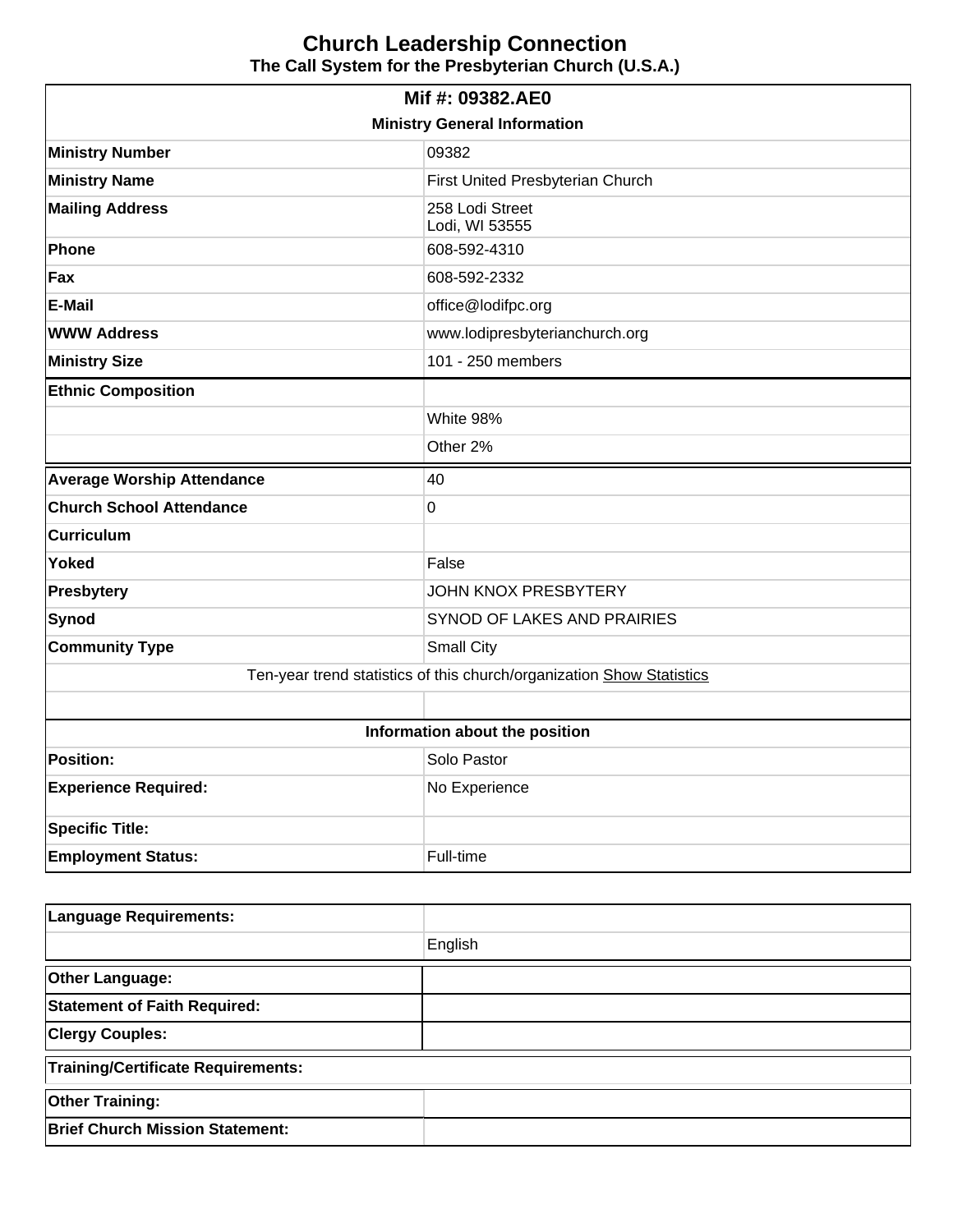| Mif #: 09382.AE0                                                      |                                   |  |  |  |
|-----------------------------------------------------------------------|-----------------------------------|--|--|--|
| <b>Ministry General Information</b>                                   |                                   |  |  |  |
| <b>Ministry Number</b>                                                | 09382                             |  |  |  |
| <b>Ministry Name</b>                                                  | First United Presbyterian Church  |  |  |  |
| <b>Mailing Address</b>                                                | 258 Lodi Street<br>Lodi, WI 53555 |  |  |  |
| Phone                                                                 | 608-592-4310                      |  |  |  |
| Fax                                                                   | 608-592-2332                      |  |  |  |
| <b>E-Mail</b>                                                         | office@lodifpc.org                |  |  |  |
| <b>WWW Address</b>                                                    | www.lodipresbyterianchurch.org    |  |  |  |
| <b>Ministry Size</b>                                                  | 101 - 250 members                 |  |  |  |
| <b>Ethnic Composition</b>                                             |                                   |  |  |  |
|                                                                       | White 98%                         |  |  |  |
|                                                                       | Other 2%                          |  |  |  |
| <b>Average Worship Attendance</b>                                     | 40                                |  |  |  |
| <b>Church School Attendance</b>                                       | 0                                 |  |  |  |
| <b>Curriculum</b>                                                     |                                   |  |  |  |
| <b>Yoked</b>                                                          | False                             |  |  |  |
| <b>Presbytery</b>                                                     | <b>JOHN KNOX PRESBYTERY</b>       |  |  |  |
| Synod                                                                 | SYNOD OF LAKES AND PRAIRIES       |  |  |  |
| <b>Community Type</b>                                                 | <b>Small City</b>                 |  |  |  |
| Ten-year trend statistics of this church/organization Show Statistics |                                   |  |  |  |
|                                                                       |                                   |  |  |  |
| Information about the position                                        |                                   |  |  |  |
| <b>Position:</b>                                                      | Solo Pastor                       |  |  |  |
| <b>Experience Required:</b>                                           | No Experience                     |  |  |  |
| <b>Specific Title:</b>                                                |                                   |  |  |  |
| <b>Employment Status:</b>                                             | Full-time                         |  |  |  |

| Language Requirements:                    |         |  |  |
|-------------------------------------------|---------|--|--|
|                                           | English |  |  |
| <b>Other Language:</b>                    |         |  |  |
| <b>Statement of Faith Required:</b>       |         |  |  |
| <b>Clergy Couples:</b>                    |         |  |  |
| <b>Training/Certificate Requirements:</b> |         |  |  |
| <b>Other Training:</b>                    |         |  |  |
| <b>Brief Church Mission Statement:</b>    |         |  |  |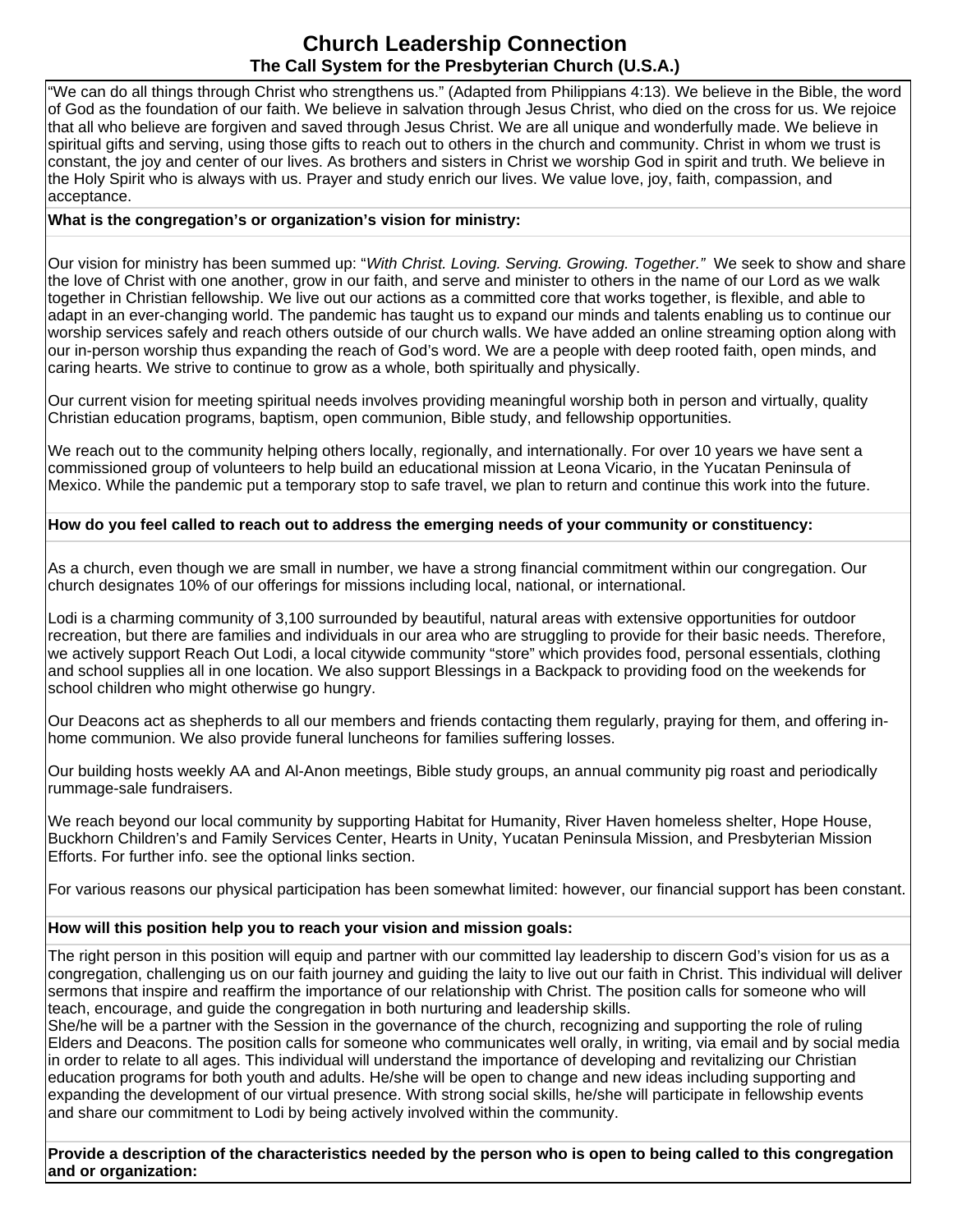"We can do all things through Christ who strengthens us." (Adapted from Philippians 4:13). We believe in the Bible, the word of God as the foundation of our faith. We believe in salvation through Jesus Christ, who died on the cross for us. We rejoice that all who believe are forgiven and saved through Jesus Christ. We are all unique and wonderfully made. We believe in spiritual gifts and serving, using those gifts to reach out to others in the church and community. Christ in whom we trust is constant, the joy and center of our lives. As brothers and sisters in Christ we worship God in spirit and truth. We believe in the Holy Spirit who is always with us. Prayer and study enrich our lives. We value love, joy, faith, compassion, and acceptance.

### **What is the congregation's or organization's vision for ministry:**

Our vision for ministry has been summed up: "With Christ. Loving. Serving. Growing. Together." We seek to show and share the love of Christ with one another, grow in our faith, and serve and minister to others in the name of our Lord as we walk together in Christian fellowship. We live out our actions as a committed core that works together, is flexible, and able to adapt in an ever-changing world. The pandemic has taught us to expand our minds and talents enabling us to continue our worship services safely and reach others outside of our church walls. We have added an online streaming option along with our in-person worship thus expanding the reach of God's word. We are a people with deep rooted faith, open minds, and caring hearts. We strive to continue to grow as a whole, both spiritually and physically.

Our current vision for meeting spiritual needs involves providing meaningful worship both in person and virtually, quality Christian education programs, baptism, open communion, Bible study, and fellowship opportunities.

We reach out to the community helping others locally, regionally, and internationally. For over 10 years we have sent a commissioned group of volunteers to help build an educational mission at Leona Vicario, in the Yucatan Peninsula of Mexico. While the pandemic put a temporary stop to safe travel, we plan to return and continue this work into the future.

### **How do you feel called to reach out to address the emerging needs of your community or constituency:**

As a church, even though we are small in number, we have a strong financial commitment within our congregation. Our church designates 10% of our offerings for missions including local, national, or international.

Lodi is a charming community of 3,100 surrounded by beautiful, natural areas with extensive opportunities for outdoor recreation, but there are families and individuals in our area who are struggling to provide for their basic needs. Therefore, we actively support Reach Out Lodi, a local citywide community "store" which provides food, personal essentials, clothing and school supplies all in one location. We also support Blessings in a Backpack to providing food on the weekends for school children who might otherwise go hungry.

Our Deacons act as shepherds to all our members and friends contacting them regularly, praying for them, and offering inhome communion. We also provide funeral luncheons for families suffering losses.

Our building hosts weekly AA and Al-Anon meetings, Bible study groups, an annual community pig roast and periodically rummage-sale fundraisers.

We reach beyond our local community by supporting Habitat for Humanity, River Haven homeless shelter, Hope House, Buckhorn Children's and Family Services Center, Hearts in Unity, Yucatan Peninsula Mission, and Presbyterian Mission Efforts. For further info. see the optional links section.

For various reasons our physical participation has been somewhat limited: however, our financial support has been constant.

### **How will this position help you to reach your vision and mission goals:**

The right person in this position will equip and partner with our committed lay leadership to discern God's vision for us as a congregation, challenging us on our faith journey and guiding the laity to live out our faith in Christ. This individual will deliver sermons that inspire and reaffirm the importance of our relationship with Christ. The position calls for someone who will teach, encourage, and guide the congregation in both nurturing and leadership skills.

She/he will be a partner with the Session in the governance of the church, recognizing and supporting the role of ruling Elders and Deacons. The position calls for someone who communicates well orally, in writing, via email and by social media in order to relate to all ages. This individual will understand the importance of developing and revitalizing our Christian education programs for both youth and adults. He/she will be open to change and new ideas including supporting and expanding the development of our virtual presence. With strong social skills, he/she will participate in fellowship events and share our commitment to Lodi by being actively involved within the community.

**Provide a description of the characteristics needed by the person who is open to being called to this congregation and or organization:**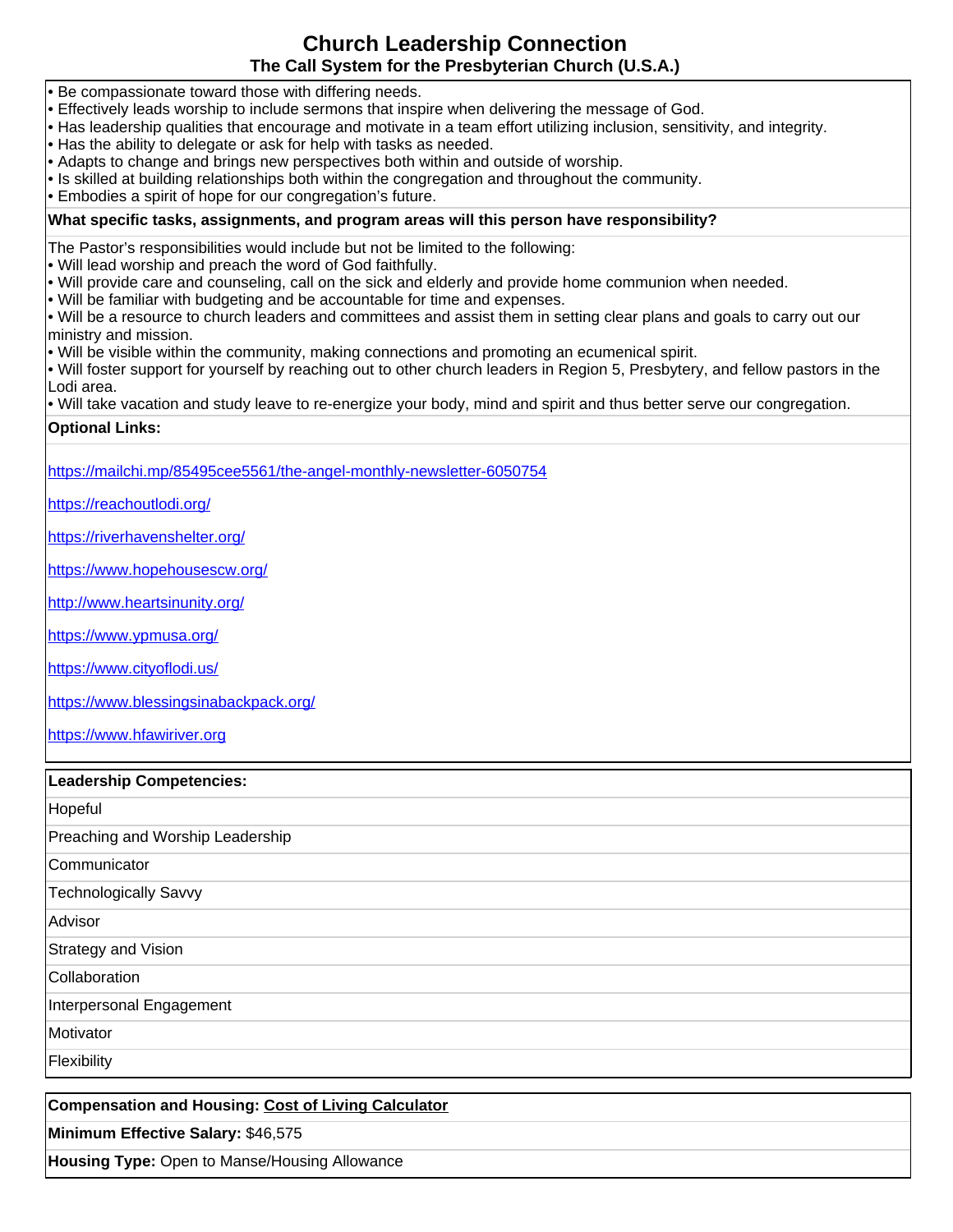- Be compassionate toward those with differing needs.
- Effectively leads worship to include sermons that inspire when delivering the message of God.
- Has leadership qualities that encourage and motivate in a team effort utilizing inclusion, sensitivity, and integrity.
- Has the ability to delegate or ask for help with tasks as needed.
- Adapts to change and brings new perspectives both within and outside of worship.
- Is skilled at building relationships both within the congregation and throughout the community.
- Embodies a spirit of hope for our congregation's future.

### **What specific tasks, assignments, and program areas will this person have responsibility?**

The Pastor's responsibilities would include but not be limited to the following:

- Will lead worship and preach the word of God faithfully.
- Will provide care and counseling, call on the sick and elderly and provide home communion when needed.
- Will be familiar with budgeting and be accountable for time and expenses.
- Will be a resource to church leaders and committees and assist them in setting clear plans and goals to carry out our ministry and mission.
- Will be visible within the community, making connections and promoting an ecumenical spirit.
- Will foster support for yourself by reaching out to other church leaders in Region 5, Presbytery, and fellow pastors in the Lodi area.
- Will take vacation and study leave to re-energize your body, mind and spirit and thus better serve our congregation.

### **Optional Links:**

<https://mailchi.mp/85495cee5561/the-angel-monthly-newsletter-6050754>

<https://reachoutlodi.org/>

<https://riverhavenshelter.org/>

<https://www.hopehousescw.org/>

<http://www.heartsinunity.org/>

<https://www.ypmusa.org/>

<https://www.cityoflodi.us/>

<https://www.blessingsinabackpack.org/>

[https://www.hfawiriver.org](https://www.hfawiriver.org/)

#### **Leadership Competencies:**

| Hopeful                          |
|----------------------------------|
| Preaching and Worship Leadership |
| Communicator                     |
| Technologically Savvy            |
| Advisor                          |
| Strategy and Vision              |
| Collaboration                    |
| Interpersonal Engagement         |
| Motivator                        |
| Flexibility                      |

**Compensation and Housing: [Cost of Living Calculator](http://www.bankrate.com/brm/movecalc.asp) Minimum Effective Salary:** \$46,575 **Housing Type:** Open to Manse/Housing Allowance